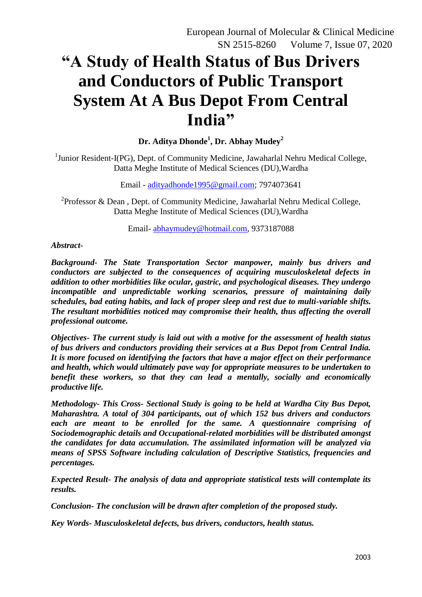# **"A Study of Health Status of Bus Drivers and Conductors of Public Transport System At A Bus Depot From Central India"**

**Dr. Aditya Dhonde<sup>1</sup> , Dr. Abhay Mudey<sup>2</sup>**

<sup>1</sup>Junior Resident-I(PG), Dept. of Community Medicine, Jawaharlal Nehru Medical College, Datta Meghe Institute of Medical Sciences (DU),Wardha

Email - [adityadhonde1995@gmail.com;](mailto:adityadhonde1995@gmail.com) 7974073641

<sup>2</sup> Professor & Dean, Dept. of Community Medicine, Jawaharlal Nehru Medical College, Datta Meghe Institute of Medical Sciences (DU),Wardha

Email- [abhaymudey@hotmail.com,](mailto:abhaymudey@hotmail.com) 9373187088

#### *Abstract-*

*Background- The State Transportation Sector manpower, mainly bus drivers and conductors are subjected to the consequences of acquiring musculoskeletal defects in addition to other morbidities like ocular, gastric, and psychological diseases. They undergo incompatible and unpredictable working scenarios, pressure of maintaining daily schedules, bad eating habits, and lack of proper sleep and rest due to multi-variable shifts. The resultant morbidities noticed may compromise their health, thus affecting the overall professional outcome.*

*Objectives- The current study is laid out with a motive for the assessment of health status of bus drivers and conductors providing their services at a Bus Depot from Central India. It is more focused on identifying the factors that have a major effect on their performance and health, which would ultimately pave way for appropriate measures to be undertaken to benefit these workers, so that they can lead a mentally, socially and economically productive life.* 

*Methodology- This Cross- Sectional Study is going to be held at Wardha City Bus Depot, Maharashtra. A total of 304 participants, out of which 152 bus drivers and conductors each are meant to be enrolled for the same. A questionnaire comprising of Sociodemographic details and Occupational-related morbidities will be distributed amongst the candidates for data accumulation. The assimilated information will be analyzed via means of SPSS Software including calculation of Descriptive Statistics, frequencies and percentages.* 

*Expected Result- The analysis of data and appropriate statistical tests will contemplate its results.*

*Conclusion- The conclusion will be drawn after completion of the proposed study.*

*Key Words- Musculoskeletal defects, bus drivers, conductors, health status.*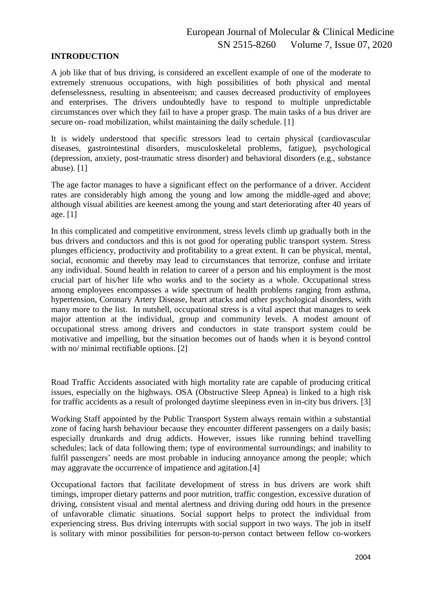#### **INTRODUCTION**

A job like that of bus driving, is considered an excellent example of one of the moderate to extremely strenuous occupations, with high possibilities of both physical and mental defenselessness, resulting in absenteeism; and causes decreased productivity of employees and enterprises. The drivers undoubtedly have to respond to multiple unpredictable circumstances over which they fail to have a proper grasp. The main tasks of a bus driver are secure on- road mobilization, whilst maintaining the daily schedule. [1]

It is widely understood that specific stressors lead to certain physical (cardiovascular diseases, gastrointestinal disorders, musculoskeletal problems, fatigue), psychological (depression, anxiety, post-traumatic stress disorder) and behavioral disorders (e.g., substance abuse). [1]

The age factor manages to have a significant effect on the performance of a driver. Accident rates are considerably high among the young and low among the middle-aged and above; although visual abilities are keenest among the young and start deteriorating after 40 years of age. [1]

In this complicated and competitive environment, stress levels climb up gradually both in the bus drivers and conductors and this is not good for operating public transport system. Stress plunges efficiency, productivity and profitability to a great extent. It can be physical, mental, social, economic and thereby may lead to circumstances that terrorize, confuse and irritate any individual. Sound health in relation to career of a person and his employment is the most crucial part of his/her life who works and to the society as a whole. Occupational stress among employees encompasses a wide spectrum of health problems ranging from asthma, hypertension, Coronary Artery Disease, heart attacks and other psychological disorders, with many more to the list. In nutshell, occupational stress is a vital aspect that manages to seek major attention at the individual, group and community levels. A modest amount of occupational stress among drivers and conductors in state transport system could be motivative and impelling, but the situation becomes out of hands when it is beyond control with no/ minimal rectifiable options. [2]

Road Traffic Accidents associated with high mortality rate are capable of producing critical issues, especially on the highways. OSA (Obstructive Sleep Apnea) is linked to a high risk for traffic accidents as a result of prolonged daytime sleepiness even in in-city bus drivers. [3]

Working Staff appointed by the Public Transport System always remain within a substantial zone of facing harsh behaviour because they encounter different passengers on a daily basis; especially drunkards and drug addicts. However, issues like running behind travelling schedules; lack of data following them; type of environmental surroundings; and inability to fulfil passengers' needs are most probable in inducing annoyance among the people; which may aggravate the occurrence of impatience and agitation.[4]

Occupational factors that facilitate development of stress in bus drivers are work shift timings, improper dietary patterns and poor nutrition, traffic congestion, excessive duration of driving, consistent visual and mental alertness and driving during odd hours in the presence of unfavorable climatic situations. Social support helps to protect the individual from experiencing stress. Bus driving interrupts with social support in two ways. The job in itself is solitary with minor possibilities for person-to-person contact between fellow co-workers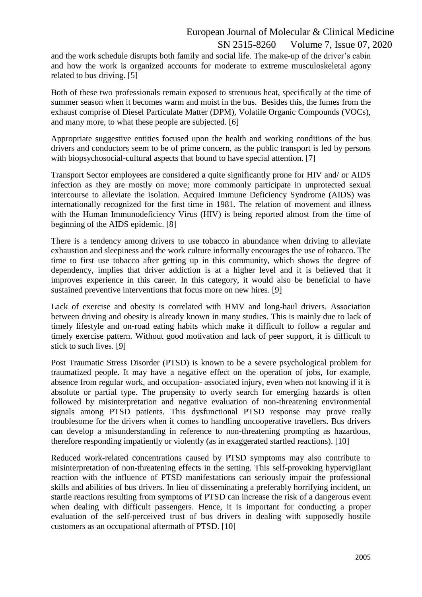ISSN 2515-8260 Volume 7, Issue 07, 2020

and the work schedule disrupts both family and social life. The make-up of the driver's cabin and how the work is organized accounts for moderate to extreme musculoskeletal agony related to bus driving. [5]

Both of these two professionals remain exposed to strenuous heat, specifically at the time of summer season when it becomes warm and moist in the bus. Besides this, the fumes from the exhaust comprise of Diesel Particulate Matter (DPM), Volatile Organic Compounds (VOCs), and many more, to what these people are subjected. [6]

Appropriate suggestive entities focused upon the health and working conditions of the bus drivers and conductors seem to be of prime concern, as the public transport is led by persons with biopsychosocial-cultural aspects that bound to have special attention. [7]

Transport Sector employees are considered a quite significantly prone for HIV and/ or AIDS infection as they are mostly on move; more commonly participate in unprotected sexual intercourse to alleviate the isolation. Acquired Immune Deficiency Syndrome (AIDS) was internationally recognized for the first time in 1981. The relation of movement and illness with the Human Immunodeficiency Virus (HIV) is being reported almost from the time of beginning of the AIDS epidemic. [8]

There is a tendency among drivers to use tobacco in abundance when driving to alleviate exhaustion and sleepiness and the work culture informally encourages the use of tobacco. The time to first use tobacco after getting up in this community, which shows the degree of dependency, implies that driver addiction is at a higher level and it is believed that it improves experience in this career. In this category, it would also be beneficial to have sustained preventive interventions that focus more on new hires. [9]

Lack of exercise and obesity is correlated with HMV and long-haul drivers. Association between driving and obesity is already known in many studies. This is mainly due to lack of timely lifestyle and on-road eating habits which make it difficult to follow a regular and timely exercise pattern. Without good motivation and lack of peer support, it is difficult to stick to such lives. [9]

Post Traumatic Stress Disorder (PTSD) is known to be a severe psychological problem for traumatized people. It may have a negative effect on the operation of jobs, for example, absence from regular work, and occupation- associated injury, even when not knowing if it is absolute or partial type. The propensity to overly search for emerging hazards is often followed by misinterpretation and negative evaluation of non-threatening environmental signals among PTSD patients. This dysfunctional PTSD response may prove really troublesome for the drivers when it comes to handling uncooperative travellers. Bus drivers can develop a misunderstanding in reference to non-threatening prompting as hazardous, therefore responding impatiently or violently (as in exaggerated startled reactions). [10]

Reduced work-related concentrations caused by PTSD symptoms may also contribute to misinterpretation of non-threatening effects in the setting. This self-provoking hypervigilant reaction with the influence of PTSD manifestations can seriously impair the professional skills and abilities of bus drivers. In lieu of disseminating a preferably horrifying incident, un startle reactions resulting from symptoms of PTSD can increase the risk of a dangerous event when dealing with difficult passengers. Hence, it is important for conducting a proper evaluation of the self-perceived trust of bus drivers in dealing with supposedly hostile customers as an occupational aftermath of PTSD. [10]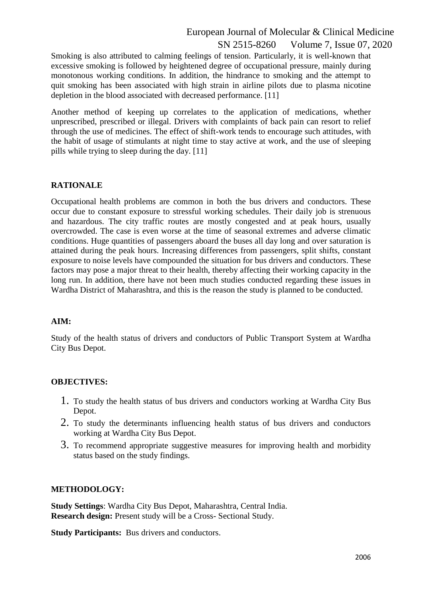ISSN 2515-8260 Volume 7, Issue 07, 2020

Smoking is also attributed to calming feelings of tension. Particularly, it is well-known that excessive smoking is followed by heightened degree of occupational pressure, mainly during monotonous working conditions. In addition, the hindrance to smoking and the attempt to quit smoking has been associated with high strain in airline pilots due to plasma nicotine depletion in the blood associated with decreased performance. [11]

Another method of keeping up correlates to the application of medications, whether unprescribed, prescribed or illegal. Drivers with complaints of back pain can resort to relief through the use of medicines. The effect of shift-work tends to encourage such attitudes, with the habit of usage of stimulants at night time to stay active at work, and the use of sleeping pills while trying to sleep during the day. [11]

#### **RATIONALE**

Occupational health problems are common in both the bus drivers and conductors. These occur due to constant exposure to stressful working schedules. Their daily job is strenuous and hazardous. The city traffic routes are mostly congested and at peak hours, usually overcrowded. The case is even worse at the time of seasonal extremes and adverse climatic conditions. Huge quantities of passengers aboard the buses all day long and over saturation is attained during the peak hours. Increasing differences from passengers, split shifts, constant exposure to noise levels have compounded the situation for bus drivers and conductors. These factors may pose a major threat to their health, thereby affecting their working capacity in the long run. In addition, there have not been much studies conducted regarding these issues in Wardha District of Maharashtra, and this is the reason the study is planned to be conducted.

#### **AIM:**

Study of the health status of drivers and conductors of Public Transport System at Wardha City Bus Depot.

#### **OBJECTIVES:**

- 1. To study the health status of bus drivers and conductors working at Wardha City Bus Depot.
- 2. To study the determinants influencing health status of bus drivers and conductors working at Wardha City Bus Depot.
- 3. To recommend appropriate suggestive measures for improving health and morbidity status based on the study findings.

#### **METHODOLOGY:**

**Study Settings**: Wardha City Bus Depot, Maharashtra, Central India. **Research design:** Present study will be a Cross- Sectional Study.

**Study Participants:** Bus drivers and conductors.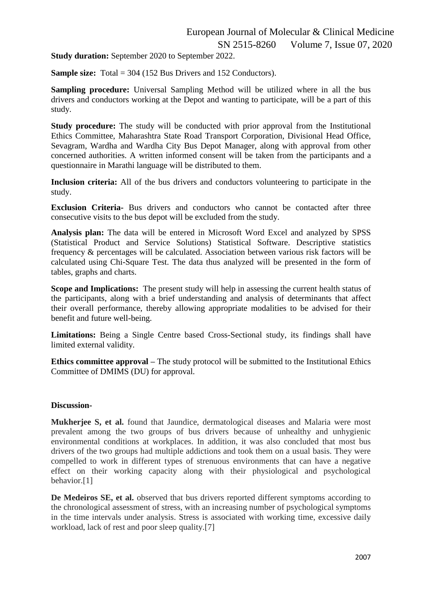**Study duration:** September 2020 to September 2022.

**Sample size:** Total = 304 (152 Bus Drivers and 152 Conductors).

**Sampling procedure:** Universal Sampling Method will be utilized where in all the bus drivers and conductors working at the Depot and wanting to participate, will be a part of this study.

**Study procedure:** The study will be conducted with prior approval from the Institutional Ethics Committee, Maharashtra State Road Transport Corporation, Divisional Head Office, Sevagram, Wardha and Wardha City Bus Depot Manager, along with approval from other concerned authorities. A written informed consent will be taken from the participants and a questionnaire in Marathi language will be distributed to them.

**Inclusion criteria:** All of the bus drivers and conductors volunteering to participate in the study.

**Exclusion Criteria-** Bus drivers and conductors who cannot be contacted after three consecutive visits to the bus depot will be excluded from the study.

**Analysis plan:** The data will be entered in Microsoft Word Excel and analyzed by SPSS (Statistical Product and Service Solutions) Statistical Software. Descriptive statistics frequency & percentages will be calculated. Association between various risk factors will be calculated using Chi-Square Test. The data thus analyzed will be presented in the form of tables, graphs and charts.

**Scope and Implications:** The present study will help in assessing the current health status of the participants, along with a brief understanding and analysis of determinants that affect their overall performance, thereby allowing appropriate modalities to be advised for their benefit and future well-being.

**Limitations:** Being a Single Centre based Cross-Sectional study, its findings shall have limited external validity.

**Ethics committee approval** – The study protocol will be submitted to the Institutional Ethics Committee of DMIMS (DU) for approval.

#### **Discussion-**

**Mukherjee S, et al.** found that Jaundice, dermatological diseases and Malaria were most prevalent among the two groups of bus drivers because of unhealthy and unhygienic environmental conditions at workplaces. In addition, it was also concluded that most bus drivers of the two groups had multiple addictions and took them on a usual basis. They were compelled to work in different types of strenuous environments that can have a negative effect on their working capacity along with their physiological and psychological behavior.[1]

**De Medeiros SE, et al.** observed that bus drivers reported different symptoms according to the chronological assessment of stress, with an increasing number of psychological symptoms in the time intervals under analysis. Stress is associated with working time, excessive daily workload, lack of rest and poor sleep quality.[7]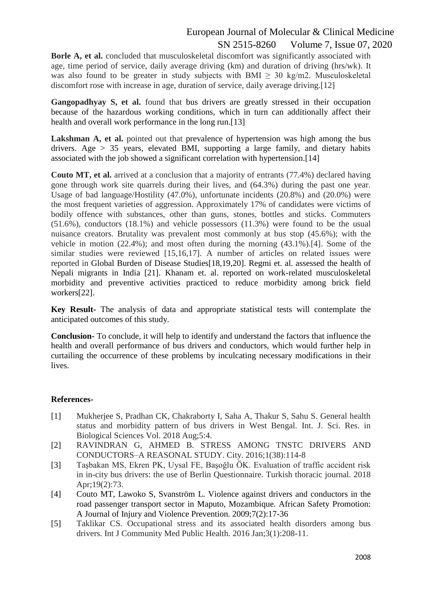ISSN 2515-8260 Volume 7, Issue 07, 2020

Borle A, et al. concluded that musculoskeletal discomfort was significantly associated with age, time period of service, daily average driving (km) and duration of driving (hrs/wk). It was also found to be greater in study subjects with  $BMI > 30 \text{ kg/m2}$ . Musculoskeletal discomfort rose with increase in age, duration of service, daily average driving.[12]

Gangopadhyay S, et al. found that bus drivers are greatly stressed in their occupation because of the hazardous working conditions, which in turn can additionally affect their health and overall work performance in the long run.<sup>[13]</sup>

Lakshman A, et al. pointed out that prevalence of hypertension was high among the bus drivers. Age > 35 years, elevated BMI, supporting a large family, and dietary habits associated with the job showed a significant correlation with hypertension.[14]

**Couto MT, et al.** arrived at a conclusion that a majority of entrants (77.4%) declared having gone through work site quarrels during their lives, and (64.3%) during the past one year. Usage of bad language/Hostility (47.0%), unfortunate incidents (20.8%) and (20.0%) were the most frequent varieties of aggression. Approximately 17% of candidates were victims of bodily offence with substances, other than guns, stones, bottles and sticks. Commuters (51.6%), conductors (18.1%) and vehicle possessors (11.3%) were found to be the usual nuisance creators. Brutality was prevalent most commonly at bus stop (45.6%); with the vehicle in motion (22.4%); and most often during the morning (43.1%).[4]. Some of the similar studies were reviewed [15,16,17]. A number of articles on related issues were reported in Global Burden of Disease Studies[18,19,20]. Regmi et. al. assessed the health of Nepali migrants in India [21]. Khanam et. al. reported on work-related musculoskeletal morbidity and preventive activities practiced to reduce morbidity among brick field workers[22].

**Key Result-** The analysis of data and appropriate statistical tests will contemplate the anticipated outcomes of this study.

**Conclusion-** To conclude, it will help to identify and understand the factors that influence the health and overall performance of bus drivers and conductors, which would further help in curtailing the occurrence of these problems by inculcating necessary modifications in their lives.

#### **References-**

- [1] Mukherjee S, Pradhan CK, Chakraborty I, Saha A, Thakur S, Sahu S. General health status and morbidity pattern of bus drivers in West Bengal. Int. J. Sci. Res. in Biological Sciences Vol. 2018 Aug;5:4.
- [2] RAVINDRAN G, AHMED B. STRESS AMONG TNSTC DRIVERS AND CONDUCTORS–A REASONAL STUDY. City. 2016;1(38):114-8
- [3] Taşbakan MS, Ekren PK, Uysal FE, Başoğlu ÖK. Evaluation of traffic accident risk in in-city bus drivers: the use of Berlin Questionnaire. Turkish thoracic journal. 2018 Apr;19(2):73.
- [4] Couto MT, Lawoko S, Svanström L. Violence against drivers and conductors in the road passenger transport sector in Maputo, Mozambique. African Safety Promotion: A Journal of Injury and Violence Prevention. 2009;7(2):17-36
- [5] Taklikar CS. Occupational stress and its associated health disorders among bus drivers. Int J Community Med Public Health. 2016 Jan;3(1):208-11.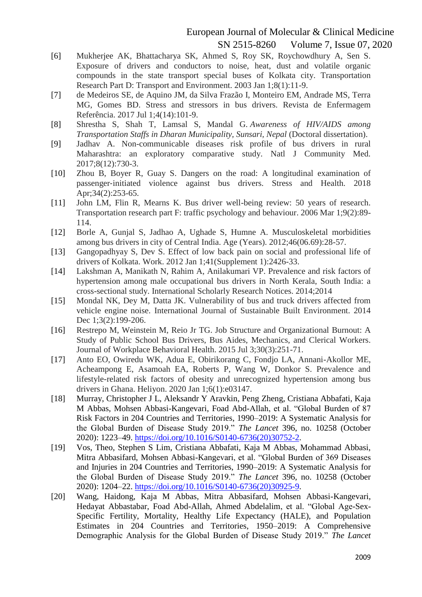ISSN 2515-8260 Volume 7, Issue 07, 2020

- [6] Mukherjee AK, Bhattacharya SK, Ahmed S, Roy SK, Roychowdhury A, Sen S. Exposure of drivers and conductors to noise, heat, dust and volatile organic compounds in the state transport special buses of Kolkata city. Transportation Research Part D: Transport and Environment. 2003 Jan 1;8(1):11-9.
- [7] de Medeiros SE, de Aquino JM, da Silva Frazão I, Monteiro EM, Andrade MS, Terra MG, Gomes BD. Stress and stressors in bus drivers. Revista de Enfermagem Referência. 2017 Jul 1;4(14):101-9.
- [8] Shrestha S, Shah T, Lamsal S, Mandal G. *Awareness of HIV/AIDS among Transportation Staffs in Dharan Municipality, Sunsari, Nepal* (Doctoral dissertation).
- [9] Jadhav A. Non-communicable diseases risk profile of bus drivers in rural Maharashtra: an exploratory comparative study. Natl J Community Med. 2017;8(12):730-3.
- [10] Zhou B, Boyer R, Guay S. Dangers on the road: A longitudinal examination of passenger‐initiated violence against bus drivers. Stress and Health. 2018 Apr; 34(2): 253-65.
- [11] John LM, Flin R, Mearns K. Bus driver well-being review: 50 years of research. Transportation research part F: traffic psychology and behaviour. 2006 Mar 1;9(2):89- 114.
- [12] Borle A, Gunjal S, Jadhao A, Ughade S, Humne A. Musculoskeletal morbidities among bus drivers in city of Central India. Age (Years). 2012;46(06.69):28-57.
- [13] Gangopadhyay S, Dev S. Effect of low back pain on social and professional life of drivers of Kolkata. Work. 2012 Jan 1;41(Supplement 1):2426-33.
- [14] Lakshman A, Manikath N, Rahim A, Anilakumari VP. Prevalence and risk factors of hypertension among male occupational bus drivers in North Kerala, South India: a cross-sectional study. International Scholarly Research Notices. 2014;2014
- [15] Mondal NK, Dey M, Datta JK. Vulnerability of bus and truck drivers affected from vehicle engine noise. International Journal of Sustainable Built Environment. 2014 Dec 1;3(2):199-206.
- [16] Restrepo M, Weinstein M, Reio Jr TG. Job Structure and Organizational Burnout: A Study of Public School Bus Drivers, Bus Aides, Mechanics, and Clerical Workers. Journal of Workplace Behavioral Health. 2015 Jul 3;30(3):251-71.
- [17] Anto EO, Owiredu WK, Adua E, Obirikorang C, Fondjo LA, Annani-Akollor ME, Acheampong E, Asamoah EA, Roberts P, Wang W, Donkor S. Prevalence and lifestyle-related risk factors of obesity and unrecognized hypertension among bus drivers in Ghana. Heliyon. 2020 Jan 1;6(1):e03147.
- [18] Murray, Christopher J L, Aleksandr Y Aravkin, Peng Zheng, Cristiana Abbafati, Kaja M Abbas, Mohsen Abbasi-Kangevari, Foad Abd-Allah, et al. "Global Burden of 87 Risk Factors in 204 Countries and Territories, 1990–2019: A Systematic Analysis for the Global Burden of Disease Study 2019." *The Lancet* 396, no. 10258 (October 2020): 1223–49. [https://doi.org/10.1016/S0140-6736\(20\)30752-2.](https://doi.org/10.1016/S0140-6736(20)30752-2)
- [19] Vos, Theo, Stephen S Lim, Cristiana Abbafati, Kaja M Abbas, Mohammad Abbasi, Mitra Abbasifard, Mohsen Abbasi-Kangevari, et al. "Global Burden of 369 Diseases and Injuries in 204 Countries and Territories, 1990–2019: A Systematic Analysis for the Global Burden of Disease Study 2019." *The Lancet* 396, no. 10258 (October 2020): 1204–22. [https://doi.org/10.1016/S0140-6736\(20\)30925-9.](https://doi.org/10.1016/S0140-6736(20)30925-9)
- [20] Wang, Haidong, Kaja M Abbas, Mitra Abbasifard, Mohsen Abbasi-Kangevari, Hedayat Abbastabar, Foad Abd-Allah, Ahmed Abdelalim, et al. "Global Age-Sex-Specific Fertility, Mortality, Healthy Life Expectancy (HALE), and Population Estimates in 204 Countries and Territories, 1950–2019: A Comprehensive Demographic Analysis for the Global Burden of Disease Study 2019." *The Lancet*